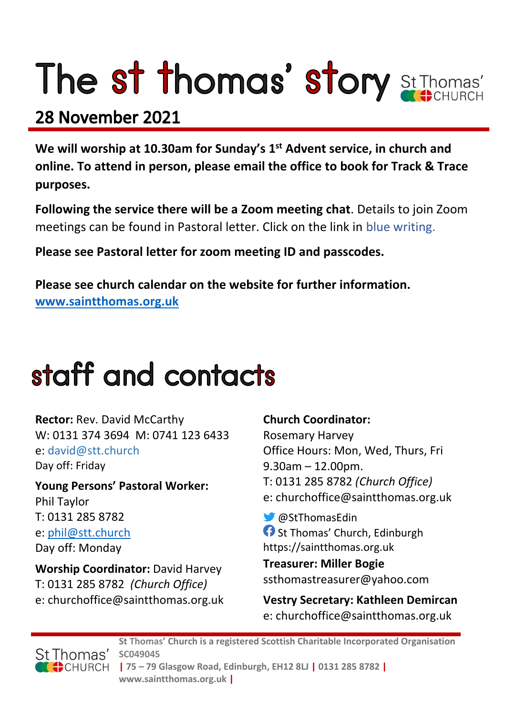# The st thomas' story St Thomas'

### 28 November 2021

**We will worship at 10.30am for Sunday's 1st Advent service, in church and online. To attend in person, please email the office to book for Track & Trace purposes.**

**Following the service there will be a Zoom meeting chat**. Details to join Zoom meetings can be found in Pastoral letter. Click on the link in blue writing.

**Please see Pastoral letter for zoom meeting ID and passcodes.**

**Please see church calendar on the website for further information. [www.saintthomas.org.uk](http://www.saintthomas.org.uk/)**

### staff and contacts

**Rector:** Rev. David McCarthy W: 0131 374 3694 M: 0741 123 6433 e: david@stt.church Day off: Friday

**Young Persons' Pastoral Worker:** Phil Taylor T: 0131 285 8782 e: [phil@stt.church](mailto:phil@stt.church) Day off: Monday

**Worship Coordinator:** David Harvey T: 0131 285 8782 *(Church Office)* e: churchoffice@saintthomas.org.uk

#### **Church Coordinator:**

Rosemary Harvey Office Hours: Mon, Wed, Thurs, Fri 9.30am – 12.00pm. T: 0131 285 8782 *(Church Office)* e: churchoffice@saintthomas.org.uk

@StThomasEdin **f** St Thomas' Church, Edinburgh https://saintthomas.org.uk

**Treasurer: Miller Bogie** ssthomastreasurer@yahoo.com

**Vestry Secretary: Kathleen Demircan**  e: churchoffice@saintthomas.org.uk



**St Thomas' Church is a registered Scottish Charitable Incorporated Organisation SC049045 | 75 – 79 Glasgow Road, Edinburgh, EH12 8LJ | 0131 285 8782 | www.saintthomas.org.uk |**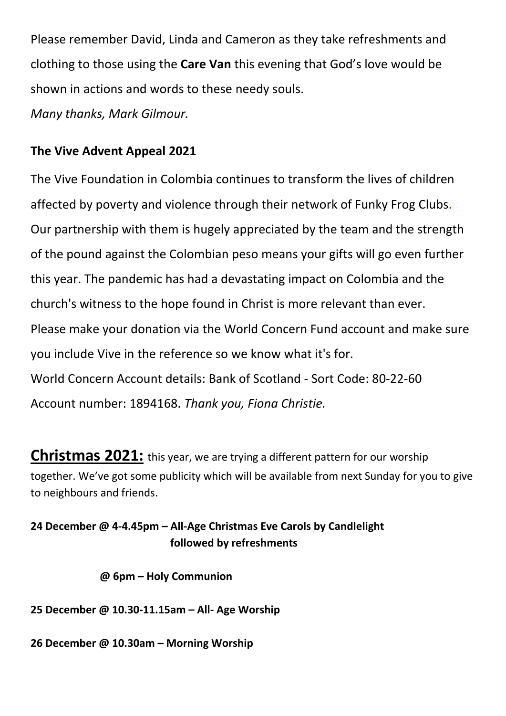Please remember David, Linda and Cameron as they take refreshments and clothing to those using the **Care Van** this evening that God's love would be shown in actions and words to these needy souls.

*Many thanks, Mark Gilmour.*

#### **The Vive Advent Appeal 2021**

The Vive Foundation in Colombia continues to transform the lives of children affected by poverty and violence through their network of Funky Frog Clubs. Our partnership with them is hugely appreciated by the team and the strength of the pound against the Colombian peso means your gifts will go even further this year. The pandemic has had a devastating impact on Colombia and the church's witness to the hope found in Christ is more relevant than ever. Please make your donation via the World Concern Fund account and make sure you include Vive in the reference so we know what it's for. World Concern Account details: Bank of Scotland - Sort Code: 80-22-60 Account number: 1894168. *Thank you, Fiona Christie.*

**Christmas 2021:** this year, we are trying a different pattern for our worship together. We've got some publicity which will be available from next Sunday for you to give to neighbours and friends.

#### **24 December @ 4-4.45pm – All-Age Christmas Eve Carols by Candlelight followed by refreshments**

 **@ 6pm – Holy Communion**

**25 December @ 10.30-11.15am – All- Age Worship**

**26 December @ 10.30am – Morning Worship**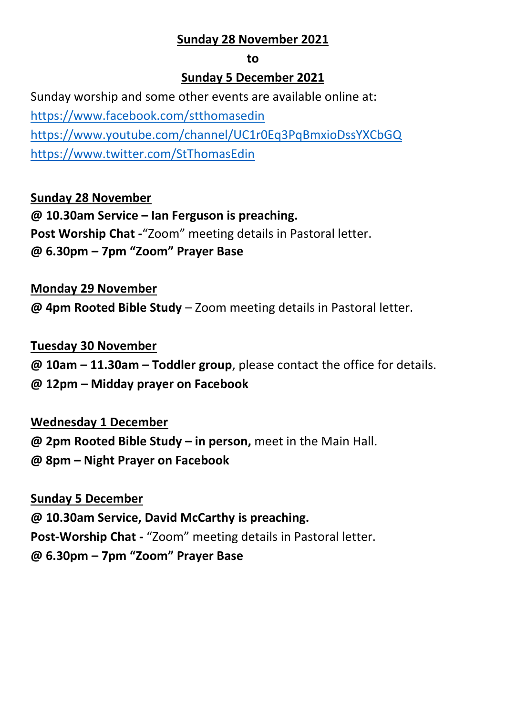#### **Sunday 28 November 2021**

#### **to**

#### **Sunday 5 December 2021**

Sunday worship and some other events are available online at: <https://www.facebook.com/stthomasedin> <https://www.youtube.com/channel/UC1r0Eq3PqBmxioDssYXCbGQ> <https://www.twitter.com/StThomasEdin>

#### **Sunday 28 November**

**@ 10.30am Service – Ian Ferguson is preaching. Post Worship Chat -**"Zoom" meeting details in Pastoral letter. **@ 6.30pm – 7pm "Zoom" Prayer Base**

#### **Monday 29 November**

**@ 4pm Rooted Bible Study** – Zoom meeting details in Pastoral letter.

#### **Tuesday 30 November**

- **@ 10am – 11.30am – Toddler group**, please contact the office for details.
- **@ 12pm – Midday prayer on Facebook**

#### **Wednesday 1 December**

- **@ 2pm Rooted Bible Study – in person,** meet in the Main Hall.
- **@ 8pm – Night Prayer on Facebook**

#### **Sunday 5 December**

**@ 10.30am Service, David McCarthy is preaching.**

**Post-Worship Chat -** "Zoom" meeting details in Pastoral letter.

**@ 6.30pm – 7pm "Zoom" Prayer Base**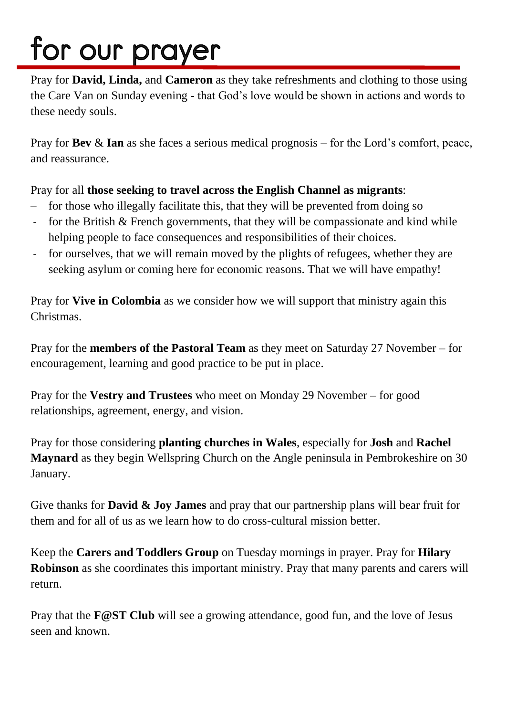## for our prayer

Pray for **David, Linda,** and **Cameron** as they take refreshments and clothing to those using the Care Van on Sunday evening - that God's love would be shown in actions and words to these needy souls.

Pray for **Bev** & **Ian** as she faces a serious medical prognosis – for the Lord's comfort, peace, and reassurance.

#### Pray for all **those seeking to travel across the English Channel as migrants**:

- for those who illegally facilitate this, that they will be prevented from doing so
- for the British & French governments, that they will be compassionate and kind while helping people to face consequences and responsibilities of their choices.
- for ourselves, that we will remain moved by the plights of refugees, whether they are seeking asylum or coming here for economic reasons. That we will have empathy!

Pray for **Vive in Colombia** as we consider how we will support that ministry again this Christmas.

Pray for the **members of the Pastoral Team** as they meet on Saturday 27 November – for encouragement, learning and good practice to be put in place.

Pray for the **Vestry and Trustees** who meet on Monday 29 November – for good relationships, agreement, energy, and vision.

Pray for those considering **planting churches in Wales**, especially for **Josh** and **Rachel Maynard** as they begin Wellspring Church on the Angle peninsula in Pembrokeshire on 30 January.

Give thanks for **David & Joy James** and pray that our partnership plans will bear fruit for them and for all of us as we learn how to do cross-cultural mission better.

Keep the **Carers and Toddlers Group** on Tuesday mornings in prayer. Pray for **Hilary Robinson** as she coordinates this important ministry. Pray that many parents and carers will return.

Pray that the **F@ST Club** will see a growing attendance, good fun, and the love of Jesus seen and known.